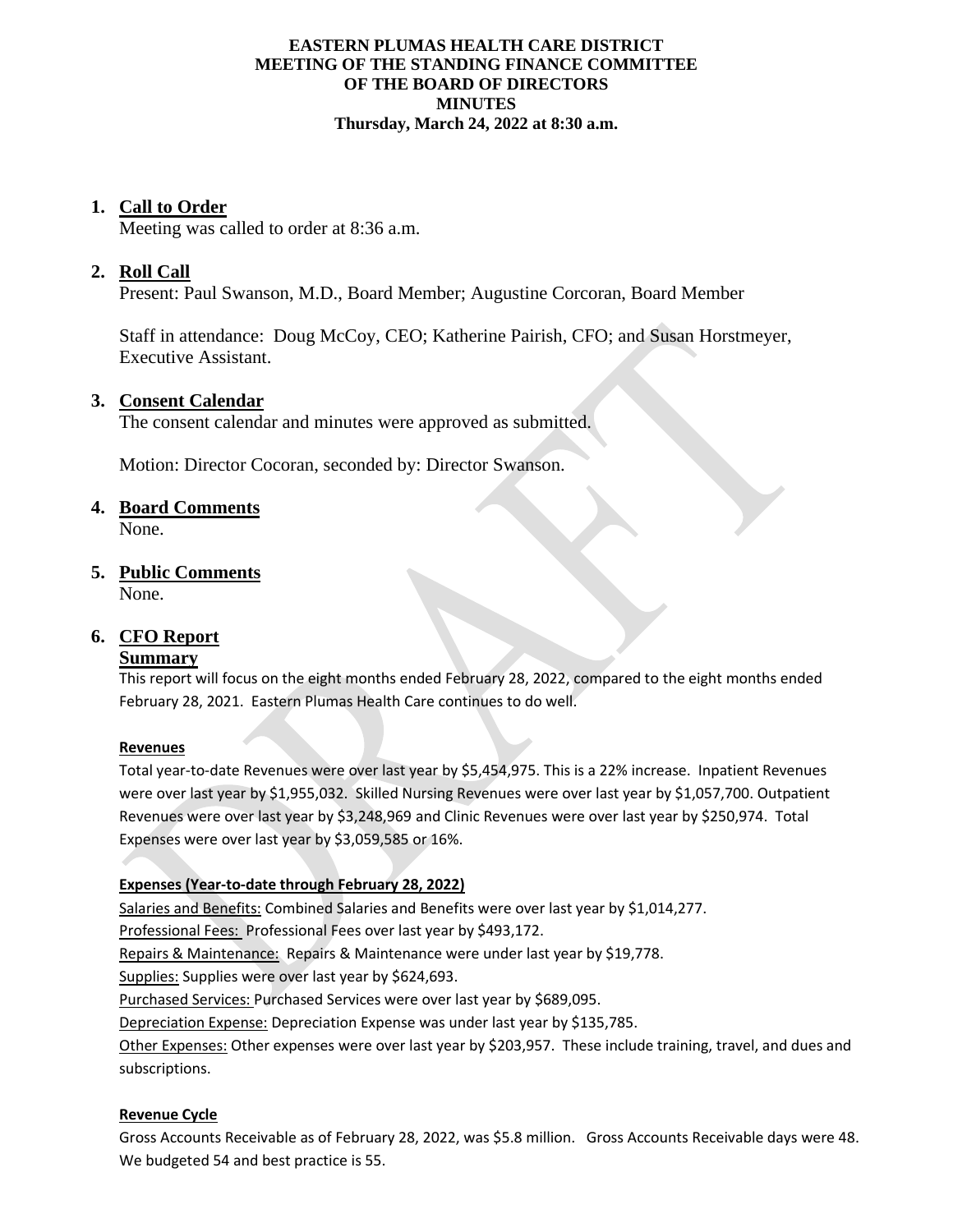#### **EASTERN PLUMAS HEALTH CARE DISTRICT MEETING OF THE STANDING FINANCE COMMITTEE OF THE BOARD OF DIRECTORS MINUTES Thursday, March 24, 2022 at 8:30 a.m.**

## **1. Call to Order**

Meeting was called to order at 8:36 a.m.

# **2. Roll Call**

Present: Paul Swanson, M.D., Board Member; Augustine Corcoran, Board Member

Staff in attendance: Doug McCoy, CEO; Katherine Pairish, CFO; and Susan Horstmeyer, Executive Assistant.

## **3. Consent Calendar**

The consent calendar and minutes were approved as submitted.

Motion: Director Cocoran, seconded by: Director Swanson.

# **4. Board Comments**

None.

# **5. Public Comments**

None.

# **6. CFO Report**

## **Summary**

This report will focus on the eight months ended February 28, 2022, compared to the eight months ended February 28, 2021. Eastern Plumas Health Care continues to do well.

#### **Revenues**

Total year-to-date Revenues were over last year by \$5,454,975. This is a 22% increase. Inpatient Revenues were over last year by \$1,955,032. Skilled Nursing Revenues were over last year by \$1,057,700. Outpatient Revenues were over last year by \$3,248,969 and Clinic Revenues were over last year by \$250,974. Total Expenses were over last year by \$3,059,585 or 16%.

## **Expenses (Year-to-date through February 28, 2022)**

Salaries and Benefits: Combined Salaries and Benefits were over last year by \$1,014,277. Professional Fees: Professional Fees over last year by \$493,172. Repairs & Maintenance: Repairs & Maintenance were under last year by \$19,778. Supplies: Supplies were over last year by \$624,693. Purchased Services: Purchased Services were over last year by \$689,095. Depreciation Expense: Depreciation Expense was under last year by \$135,785. Other Expenses: Other expenses were over last year by \$203,957. These include training, travel, and dues and subscriptions.

## **Revenue Cycle**

Gross Accounts Receivable as of February 28, 2022, was \$5.8 million. Gross Accounts Receivable days were 48. We budgeted 54 and best practice is 55.